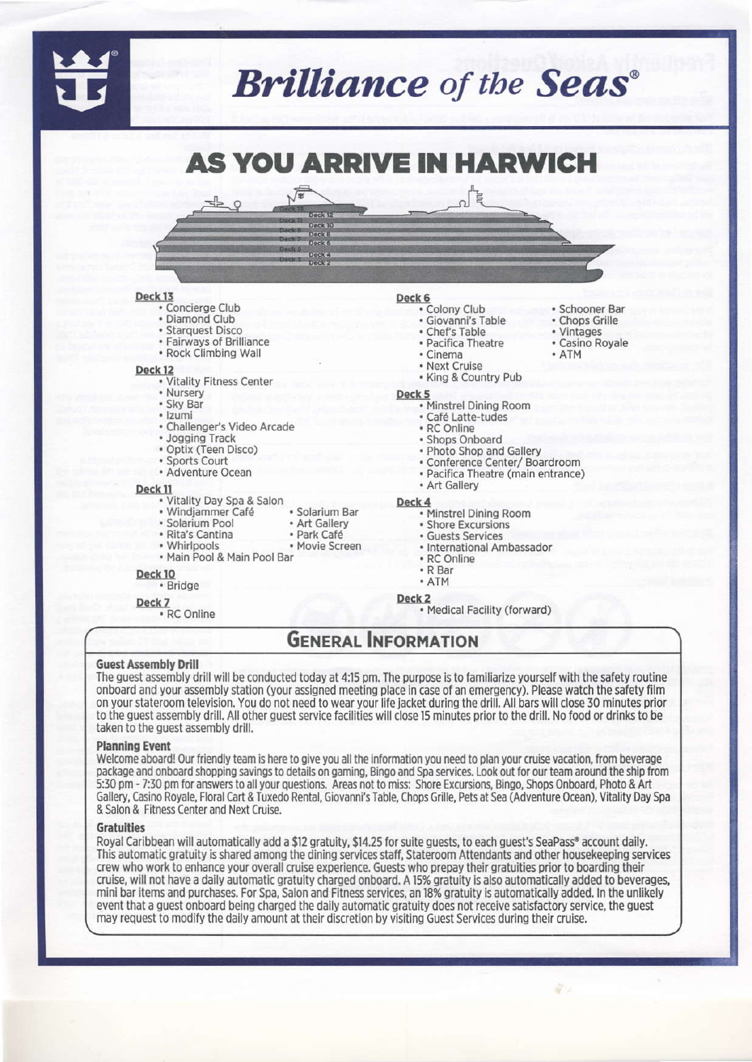# **Brilliance** of the **Seas**<sup>®</sup>

## **AS YOU ARRIVE IN HARWICH**

#### Deck<sub>13</sub>

- · Concierge Club
- · Diamond Club
- · Starquest Disco
- · Fairways of Brilliance
- Rock Climbing Wall

#### Deck<sub>12</sub>

- · Vitality Fitness Center
- Nursery
- · Sky Bar
- · Izumi
- · Challenger's Video Arcade
- Jogging Track
- · Optix (Teen Disco)

• Rita's Cantina

• Whirlpools

- · Sports Court
- · Adventure Ocean

#### Deck<sub>11</sub>

- Vitality Day Spa & Salon<br>• Windjammer Café
- · Solarium Bar · Solarium Pool
	- Art Gallery
	- · Park Café
	- Movie Screen
- . Main Pool & Main Pool Bar

#### Deck<sub>10</sub>

- · Bridge
- Deck 7
- · RC Online

### Deck 6

- Colony Club
- · Giovanni's Table
- Chef's Table • Pacifica Theatre
- 
- · Cinema
- Next Cruise
- · King & Country Pub

#### Deck<sub>5</sub>

- Minstrel Dining Room
- · Café Latte-tudes
- RC Online
- · Shops Onboard
- . Photo Shop and Gallery
- · Conference Center/ Boardroom
- · Pacifica Theatre (main entrance)

· Schooner Bar

• Casino Royale

· Chops Grille

· Vintages

• ATM

- Art Gallery
- · Minstrel Dining Room
- · Shore Excursions
- · Guests Services
- 
- 
- 
- ATM

Deck<sub>2</sub>

Medical Facility (forward)

### **GENERAL INFORMATION**

#### **Guest Assembly Drill**

The guest assembly drill will be conducted today at 4:15 pm. The purpose is to familiarize yourself with the safety routine onboard and your assembly station (your assigned meeting place in case of an emergency). Please watch the safety film on your stateroom television. You do not need to wear your life jacket during the drill. All bars will close 30 minutes prior to the guest assembly drill. All other guest service facilities will close 15 minutes prior to the drill. No food or drinks to be taken to the guest assembly drill.

#### **Planning Event**

Welcome aboard! Our friendly team is here to give you all the information you need to plan your cruise vacation, from beverage package and onboard shopping savings to details on gaming, Bingo and Spa services. Look out for our team around the ship from 5:30 pm - 7:30 pm for answers to all your questions. Areas not to miss: Shore Excursions, Bingo, Shops Onboard, Photo & Art Gallery, Casino Royale, Floral Cart & Tuxedo Rental, Giovanni's Table, Chops Grille, Pets at Sea (Adventure Ocean), Vitality Day Spa & Salon & Fitness Center and Next Cruise.

#### **Gratuities**

Royal Caribbean will automatically add a \$12 gratuity, \$14.25 for suite guests, to each guest's SeaPass® account daily. This automatic gratuity is shared among the dining services staff, Stateroom Attendants and other housekeeping services crew who work to enhance your overall cruise experience. Guests who prepay their gratuities prior to boarding their cruise, will not have a daily automatic gratuity charged onboard. A 15% gratuity is also automatically added to beverages, mini bar items and purchases. For Spa, Salon and Fitness services, an 18% gratuity is automatically added. In the unlikely event that a guest onboard being charged the daily automatic gratuity does not receive satisfactory service, the guest may request to modify the daily amount at their discretion by visiting Guest Services during their cruise.

- Deck 4
	-
	-
	- · International Ambassador
	- · RC Online
	- R Bar